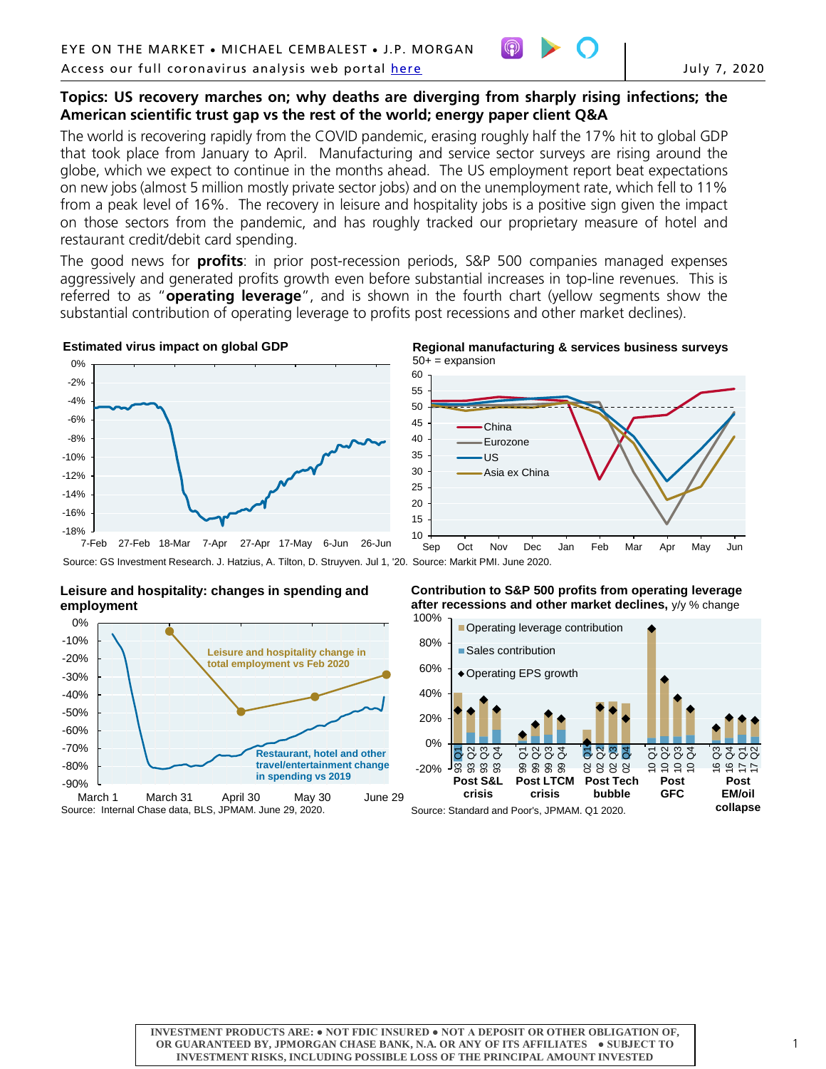

## **Topics: US recovery marches on; why deaths are diverging from sharply rising infections; the American scientific trust gap vs the rest of the world; energy paper client Q&A**

The world is recovering rapidly from the COVID pandemic, erasing roughly half the 17% hit to global GDP that took place from January to April. Manufacturing and service sector surveys are rising around the globe, which we expect to continue in the months ahead. The US employment report beat expectations on new jobs (almost 5 million mostly private sector jobs) and on the unemployment rate, which fell to 11% from a peak level of 16%. The recovery in leisure and hospitality jobs is a positive sign given the impact on those sectors from the pandemic, and has roughly tracked our proprietary measure of hotel and restaurant credit/debit card spending.

The good news for **profits**: in prior post-recession periods, S&P 500 companies managed expenses aggressively and generated profits growth even before substantial increases in top-line revenues. This is referred to as "**operating leverage**", and is shown in the fourth chart (yellow segments show the substantial contribution of operating leverage to profits post recessions and other market declines).

#### **Estimated virus impact on global GDP**



#### **Regional manufacturing & services business surveys**  $50+$  = expansion



Source: GS Investment Research. J. Hatzius, A. Tilton, D. Struyven. Jul 1, '20. Source: Markit PMI. June 2020.

#### **Leisure and hospitality: changes in spending and employment**



## **Contribution to S&P 500 profits from operating leverage after recessions and other market declines,** y/y % change

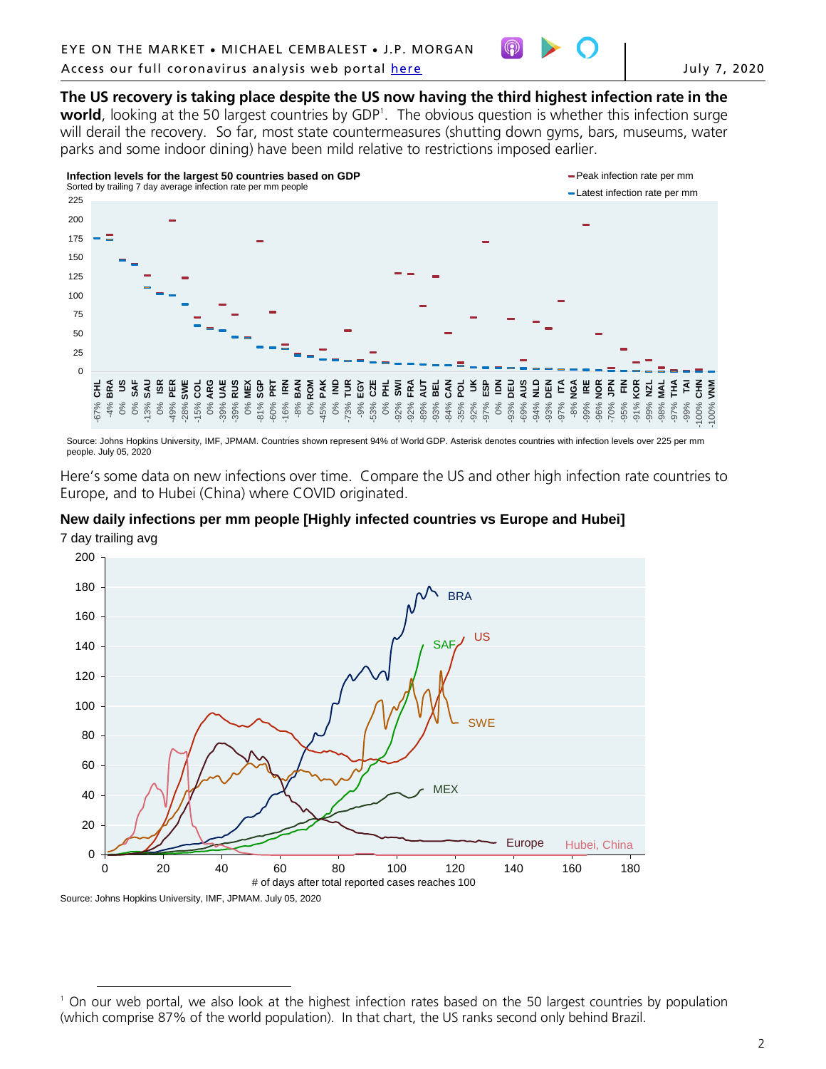

# **The US recovery is taking place despite the US now having the third highest infection rate in the**

**world**, looking at the 50 largest countries by GDP<sup>[1](#page-1-0)</sup>. The obvious question is whether this infection surge will derail the recovery. So far, most state countermeasures (shutting down gyms, bars, museums, water parks and some indoor dining) have been mild relative to restrictions imposed earlier.



Source: Johns Hopkins University, IMF, JPMAM. Countries shown represent 94% of World GDP. Asterisk denotes countries with infection levels over 225 per mm people. July 05, 2020

Here's some data on new infections over time. Compare the US and other high infection rate countries to Europe, and to Hubei (China) where COVID originated.

## **New daily infections per mm people [Highly infected countries vs Europe and Hubei]**





<span id="page-1-0"></span> $\overline{a}$ <sup>1</sup> On our web portal, we also look at the highest infection rates based on the 50 largest countries by population (which comprise 87% of the world population). In that chart, the US ranks second only behind Brazil.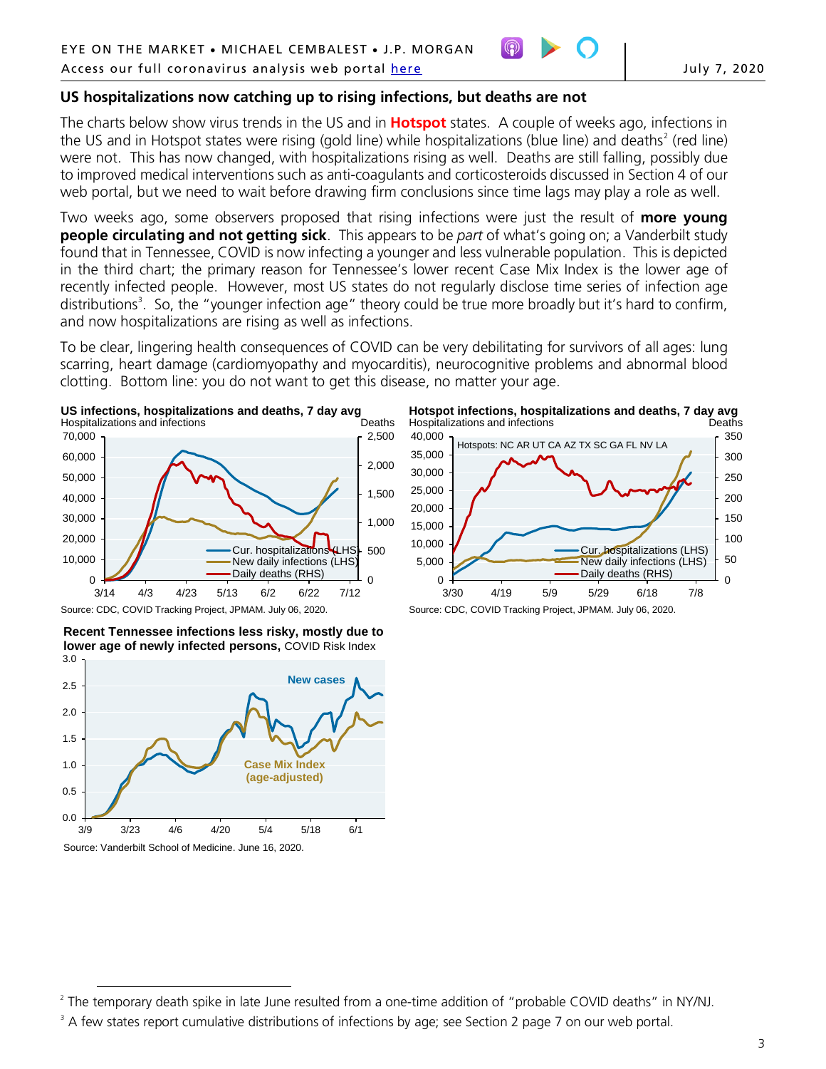

## **US hospitalizations now catching up to rising infections, but deaths are not**

The charts below show virus trends in the US and in **Hotspot** states. A couple of weeks ago, infections in the US and in Hotspot states were rising (gold line) while hospitalizations (blue line) and deaths<sup>[2](#page-2-0)</sup> (red line) were not. This has now changed, with hospitalizations rising as well. Deaths are still falling, possibly due to improved medical interventions such as anti-coagulants and corticosteroids discussed in Section 4 of our web portal, but we need to wait before drawing firm conclusions since time lags may play a role as well.

Two weeks ago, some observers proposed that rising infections were just the result of **more young people circulating and not getting sick**. This appears to be *part* of what's going on; a Vanderbilt study found that in Tennessee, COVID is now infecting a younger and less vulnerable population. This is depicted in the third chart; the primary reason for Tennessee's lower recent Case Mix Index is the lower age of recently infected people. However, most US states do not regularly disclose time series of infection age distributions<sup>3</sup>. So, the "younger infection age" theory could be true more broadly but it's hard to confirm, and now hospitalizations are rising as well as infections.

To be clear, lingering health consequences of COVID can be very debilitating for survivors of all ages: lung scarring, heart damage (cardiomyopathy and myocarditis), neurocognitive problems and abnormal blood clotting. Bottom line: you do not want to get this disease, no matter your age.



Source: CDC, COVID Tracking Project, JPMAM. July 06, 2020.

3.0 **Recent Tennessee infections less risky, mostly due to lower age of newly infected persons,** COVID Risk Index





Source: CDC, COVID Tracking Project, JPMAM. July 06, 2020.

<span id="page-2-0"></span> $\overline{a}$ <sup>2</sup> The temporary death spike in late June resulted from a one-time addition of "probable COVID deaths" in NY/NJ.

<span id="page-2-1"></span><sup>&</sup>lt;sup>3</sup> A few states report cumulative distributions of infections by age; see Section 2 page 7 on our web portal.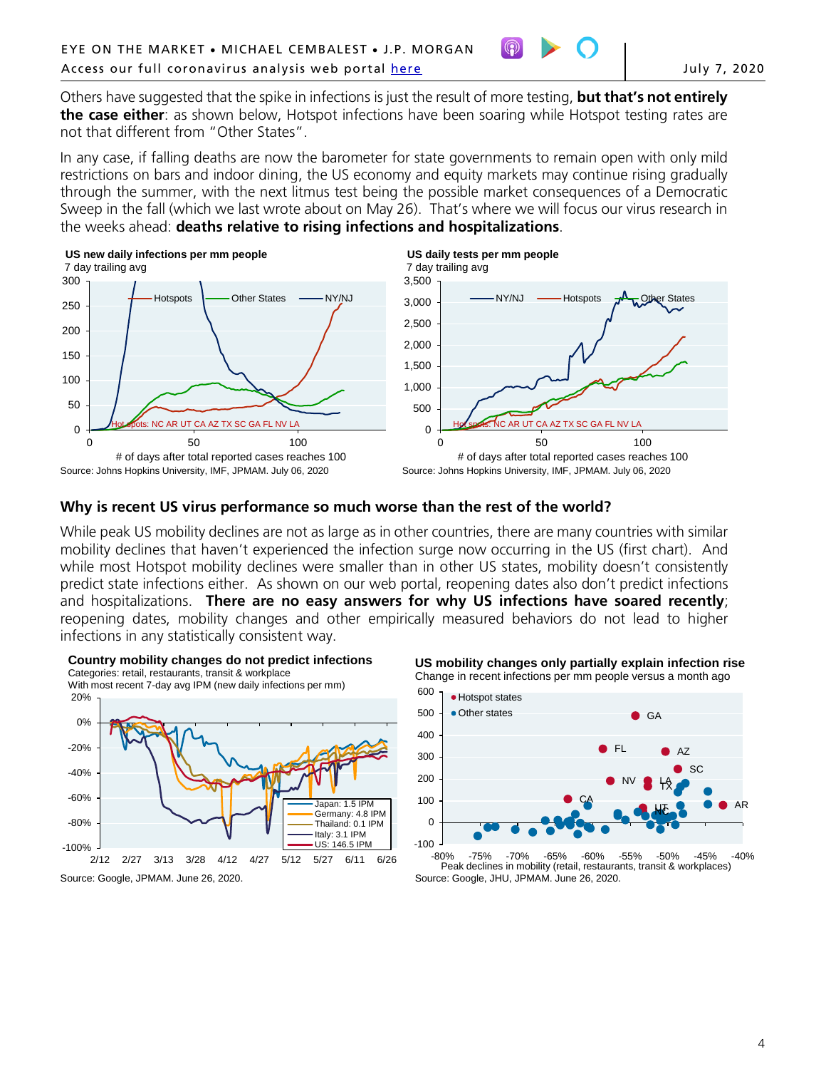Others have suggested that the spike in infections is just the result of more testing, **but that's not entirely the case either**: as shown below, Hotspot infections have been soaring while Hotspot testing rates are not that different from "Other States".

In any case, if falling deaths are now the barometer for state governments to remain open with only mild restrictions on bars and indoor dining, the US economy and equity markets may continue rising gradually through the summer, with the next litmus test being the possible market consequences of a Democratic Sweep in the fall (which we last wrote about on May 26). That's where we will focus our virus research in the weeks ahead: **deaths relative to rising infections and hospitalizations**.



#### **US daily tests per mm people** 7 day trailing avg



## **Why is recent US virus performance so much worse than the rest of the world?**

While peak US mobility declines are not as large as in other countries, there are many countries with similar mobility declines that haven't experienced the infection surge now occurring in the US (first chart). And while most Hotspot mobility declines were smaller than in other US states, mobility doesn't consistently predict state infections either. As shown on our web portal, reopening dates also don't predict infections and hospitalizations. **There are no easy answers for why US infections have soared recently**; reopening dates, mobility changes and other empirically measured behaviors do not lead to higher infections in any statistically consistent way.







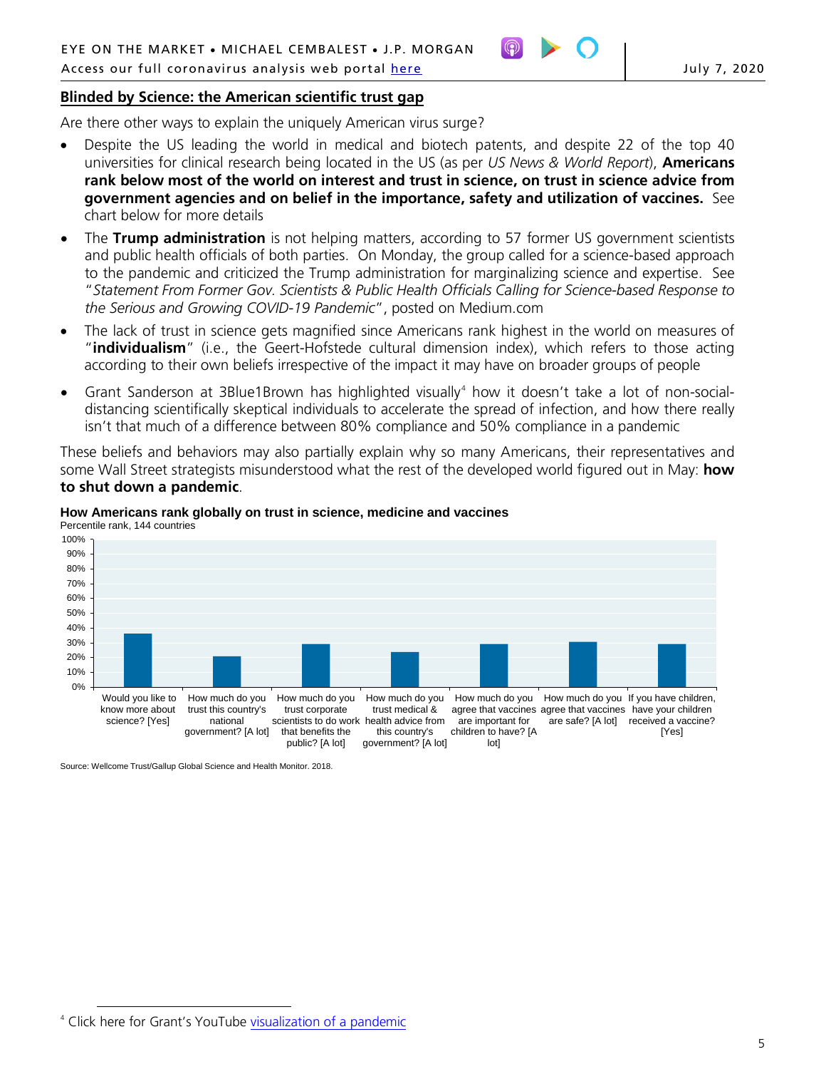## **Blinded by Science: the American scientific trust gap**

Are there other ways to explain the uniquely American virus surge?

- Despite the US leading the world in medical and biotech patents, and despite 22 of the top 40 universities for clinical research being located in the US (as per *US News & World Report*), **Americans rank below most of the world on interest and trust in science, on trust in science advice from government agencies and on belief in the importance, safety and utilization of vaccines.** See chart below for more details
- The **Trump administration** is not helping matters, according to 57 former US government scientists and public health officials of both parties. On Monday, the group called for a science-based approach to the pandemic and criticized the Trump administration for marginalizing science and expertise. See "*Statement From Former Gov. Scientists & Public Health Officials Calling for Science-based Response to the Serious and Growing COVID-19 Pandemic*", posted on Medium.com
- The lack of trust in science gets magnified since Americans rank highest in the world on measures of "**individualism**" (i.e., the Geert-Hofstede cultural dimension index), which refers to those acting according to their own beliefs irrespective of the impact it may have on broader groups of people
- Grant Sanderson at 3Blue1Brown has highlighted visually<sup>[4](#page-4-0)</sup> how it doesn't take a lot of non-socialdistancing scientifically skeptical individuals to accelerate the spread of infection, and how there really isn't that much of a difference between 80% compliance and 50% compliance in a pandemic

These beliefs and behaviors may also partially explain why so many Americans, their representatives and some Wall Street strategists misunderstood what the rest of the developed world figured out in May: **how to shut down a pandemic**.





Source: Wellcome Trust/Gallup Global Science and Health Monitor. 2018.

<span id="page-4-0"></span> $\overline{a}$ <sup>4</sup> Click here for Grant's YouTube [visualization o](https://www.youtube.com/watch?v=gxAaO2rsdIs)f a pandemic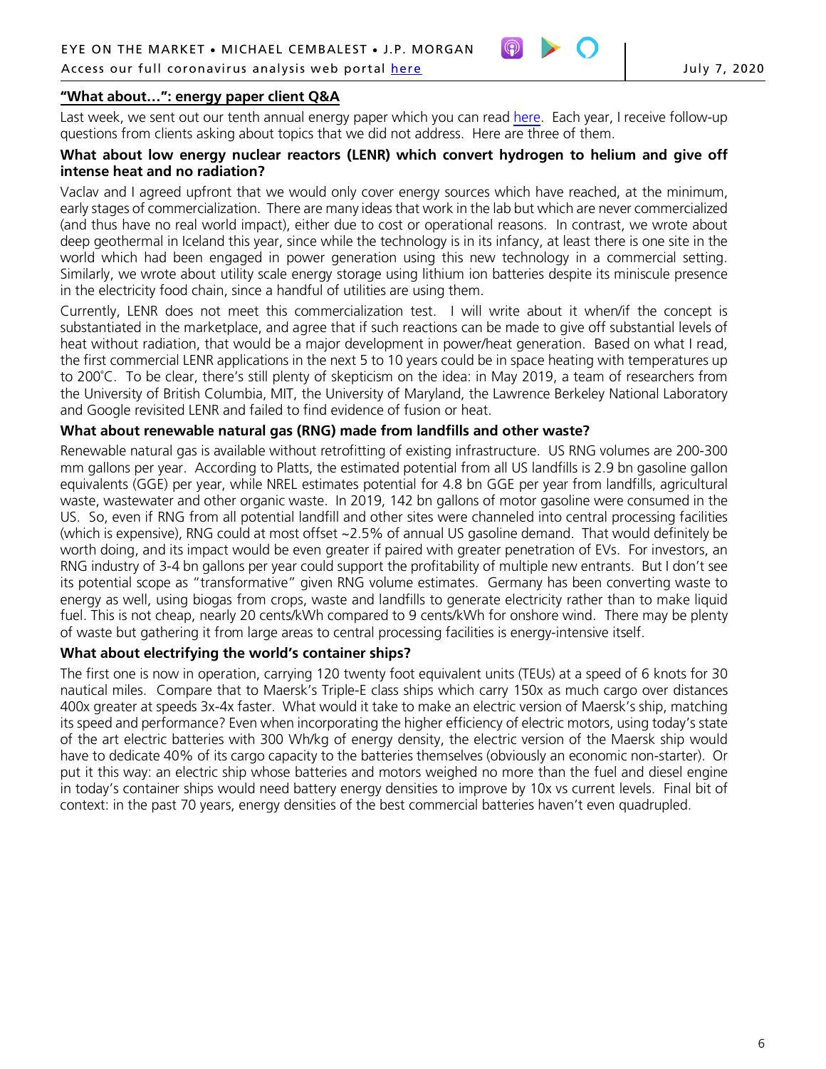

### **"What about…": energy paper client Q&A**

Last week, we sent out our tenth annual energy paper which you can rea[d here.](http://www.jpmorgan.com/directdoc/Stargazing.pdf) Each year, I receive follow-up questions from clients asking about topics that we did not address. Here are three of them.

### **What about low energy nuclear reactors (LENR) which convert hydrogen to helium and give off intense heat and no radiation?**

Vaclav and I agreed upfront that we would only cover energy sources which have reached, at the minimum, early stages of commercialization. There are many ideas that work in the lab but which are never commercialized (and thus have no real world impact), either due to cost or operational reasons. In contrast, we wrote about deep geothermal in Iceland this year, since while the technology is in its infancy, at least there is one site in the world which had been engaged in power generation using this new technology in a commercial setting. Similarly, we wrote about utility scale energy storage using lithium ion batteries despite its miniscule presence in the electricity food chain, since a handful of utilities are using them.

Currently, LENR does not meet this commercialization test. I will write about it when/if the concept is substantiated in the marketplace, and agree that if such reactions can be made to give off substantial levels of heat without radiation, that would be a major development in power/heat generation. Based on what I read, the first commercial LENR applications in the next 5 to 10 years could be in space heating with temperatures up to 200˚C. To be clear, there's still plenty of skepticism on the idea: in May 2019, a team of researchers from the University of British Columbia, MIT, the University of Maryland, the Lawrence Berkeley National Laboratory and Google revisited LENR and failed to find evidence of fusion or heat.

### **What about renewable natural gas (RNG) made from landfills and other waste?**

Renewable natural gas is available without retrofitting of existing infrastructure. US RNG volumes are 200-300 mm gallons per year. According to Platts, the estimated potential from all US landfills is 2.9 bn gasoline gallon equivalents (GGE) per year, while NREL estimates potential for 4.8 bn GGE per year from landfills, agricultural waste, wastewater and other organic waste. In 2019, 142 bn gallons of motor gasoline were consumed in the US. So, even if RNG from all potential landfill and other sites were channeled into central processing facilities (which is expensive), RNG could at most offset ~2.5% of annual US gasoline demand. That would definitely be worth doing, and its impact would be even greater if paired with greater penetration of EVs. For investors, an RNG industry of 3-4 bn gallons per year could support the profitability of multiple new entrants. But I don't see its potential scope as "transformative" given RNG volume estimates. Germany has been converting waste to energy as well, using biogas from crops, waste and landfills to generate electricity rather than to make liquid fuel. This is not cheap, nearly 20 cents/kWh compared to 9 cents/kWh for onshore wind. There may be plenty of waste but gathering it from large areas to central processing facilities is energy-intensive itself.

### **What about electrifying the world's container ships?**

The first one is now in operation, carrying 120 twenty foot equivalent units (TEUs) at a speed of 6 knots for 30 nautical miles. Compare that to Maersk's Triple-E class ships which carry 150x as much cargo over distances 400x greater at speeds 3x-4x faster. What would it take to make an electric version of Maersk's ship, matching its speed and performance? Even when incorporating the higher efficiency of electric motors, using today's state of the art electric batteries with 300 Wh/kg of energy density, the electric version of the Maersk ship would have to dedicate 40% of its cargo capacity to the batteries themselves (obviously an economic non-starter). Or put it this way: an electric ship whose batteries and motors weighed no more than the fuel and diesel engine in today's container ships would need battery energy densities to improve by 10x vs current levels. Final bit of context: in the past 70 years, energy densities of the best commercial batteries haven't even quadrupled.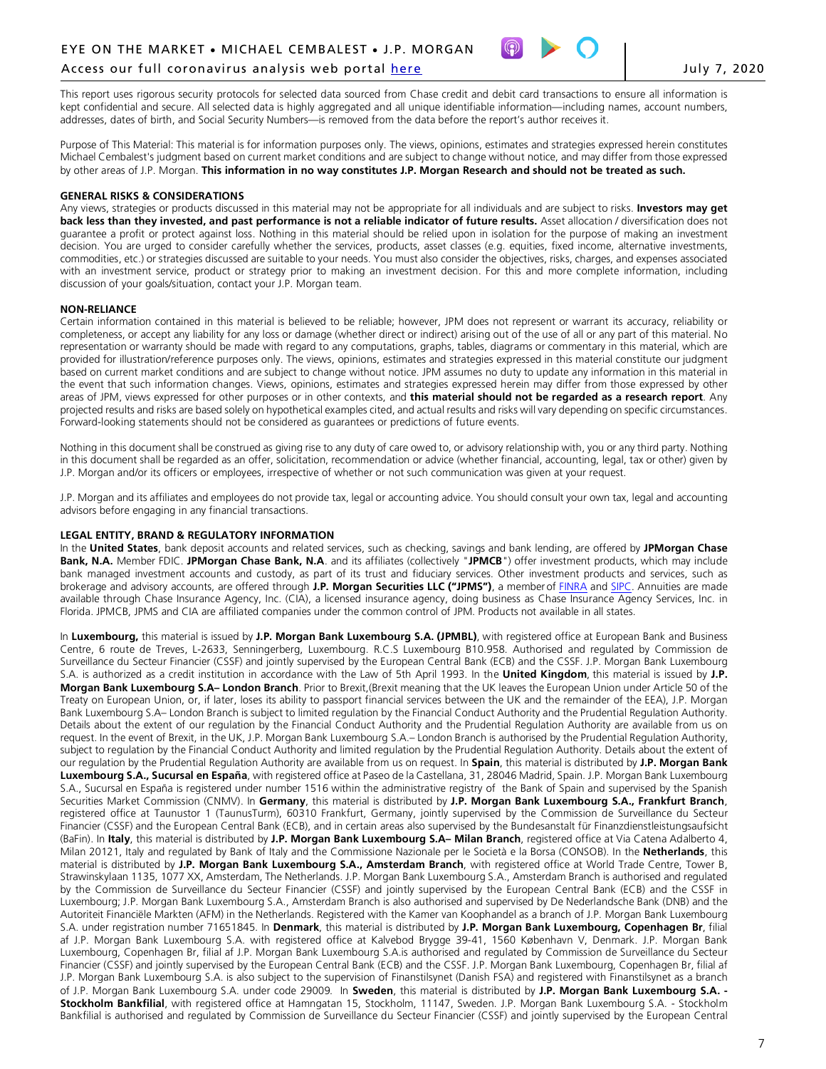#### Access our full coronavirus analysis web portal [here](https://www.jpmorgan.com/coronavirus-research) **Same Coronaviations** and the July 7, 2020



This report uses rigorous security protocols for selected data sourced from Chase credit and debit card transactions to ensure all information is kept confidential and secure. All selected data is highly aggregated and all unique identifiable information—including names, account numbers, addresses, dates of birth, and Social Security Numbers—is removed from the data before the report's author receives it.

Purpose of This Material: This material is for information purposes only. The views, opinions, estimates and strategies expressed herein constitutes Michael Cembalest's judgment based on current market conditions and are subject to change without notice, and may differ from those expressed by other areas of J.P. Morgan. **This information in no way constitutes J.P. Morgan Research and should not be treated as such.**

#### **GENERAL RISKS & CONSIDERATIONS**

Any views, strategies or products discussed in this material may not be appropriate for all individuals and are subject to risks. **Investors may get**  back less than they invested, and past performance is not a reliable indicator of future results. Asset allocation / diversification does not guarantee a profit or protect against loss. Nothing in this material should be relied upon in isolation for the purpose of making an investment decision. You are urged to consider carefully whether the services, products, asset classes (e.g. equities, fixed income, alternative investments, commodities, etc.) or strategies discussed are suitable to your needs. You must also consider the objectives, risks, charges, and expenses associated with an investment service, product or strategy prior to making an investment decision. For this and more complete information, including discussion of your goals/situation, contact your J.P. Morgan team.

#### **NON-RELIANCE**

Certain information contained in this material is believed to be reliable; however, JPM does not represent or warrant its accuracy, reliability or completeness, or accept any liability for any loss or damage (whether direct or indirect) arising out of the use of all or any part of this material. No representation or warranty should be made with regard to any computations, graphs, tables, diagrams or commentary in this material, which are provided for illustration/reference purposes only. The views, opinions, estimates and strategies expressed in this material constitute our judgment based on current market conditions and are subject to change without notice. JPM assumes no duty to update any information in this material in the event that such information changes. Views, opinions, estimates and strategies expressed herein may differ from those expressed by other areas of JPM, views expressed for other purposes or in other contexts, and **this material should not be regarded as a research report**. Any projected results and risks are based solely on hypothetical examples cited, and actual results and risks will vary depending on specific circumstances. Forward-looking statements should not be considered as guarantees or predictions of future events.

Nothing in this document shall be construed as giving rise to any duty of care owed to, or advisory relationship with, you or any third party. Nothing in this document shall be regarded as an offer, solicitation, recommendation or advice (whether financial, accounting, legal, tax or other) given by J.P. Morgan and/or its officers or employees, irrespective of whether or not such communication was given at your request.

J.P. Morgan and its affiliates and employees do not provide tax, legal or accounting advice. You should consult your own tax, legal and accounting advisors before engaging in any financial transactions.

#### **LEGAL ENTITY, BRAND & REGULATORY INFORMATION**

In the **United States**, bank deposit accounts and related services, such as checking, savings and bank lending, are offered by **JPMorgan Chase Bank, N.A.** Member FDIC. **JPMorgan Chase Bank, N.A**. and its affiliates (collectively "**JPMCB**") offer investment products, which may include bank managed investment accounts and custody, as part of its trust and fiduciary services. Other investment products and services, such as brokerage and advisory accounts, are offered through **J.P. Morgan Securities LLC ("JPMS")**, a member of [FINRA](http://www.finra.org/) and [SIPC.](http://www.sipc.org/) Annuities are made available through Chase Insurance Agency, Inc. (CIA), a licensed insurance agency, doing business as Chase Insurance Agency Services, Inc. in Florida. JPMCB, JPMS and CIA are affiliated companies under the common control of JPM. Products not available in all states.

In **Luxembourg,** this material is issued by **J.P. Morgan Bank Luxembourg S.A. (JPMBL)**, with registered office at European Bank and Business Centre, 6 route de Treves, L-2633, Senningerberg, Luxembourg. R.C.S Luxembourg B10.958. Authorised and regulated by Commission de Surveillance du Secteur Financier (CSSF) and jointly supervised by the European Central Bank (ECB) and the CSSF. J.P. Morgan Bank Luxembourg S.A. is authorized as a credit institution in accordance with the Law of 5th April 1993. In the **United Kingdom**, this material is issued by **J.P. Morgan Bank Luxembourg S.A– London Branch**. Prior to Brexit,(Brexit meaning that the UK leaves the European Union under Article 50 of the Treaty on European Union, or, if later, loses its ability to passport financial services between the UK and the remainder of the EEA), J.P. Morgan Bank Luxembourg S.A– London Branch is subject to limited regulation by the Financial Conduct Authority and the Prudential Regulation Authority. Details about the extent of our regulation by the Financial Conduct Authority and the Prudential Regulation Authority are available from us on request. In the event of Brexit, in the UK, J.P. Morgan Bank Luxembourg S.A.– London Branch is authorised by the Prudential Regulation Authority, subject to regulation by the Financial Conduct Authority and limited regulation by the Prudential Regulation Authority. Details about the extent of our regulation by the Prudential Regulation Authority are available from us on request. In **Spain**, this material is distributed by **J.P. Morgan Bank Luxembourg S.A., Sucursal en España**, with registered office at Paseo de la Castellana, 31, 28046 Madrid, Spain. J.P. Morgan Bank Luxembourg S.A., Sucursal en España is registered under number 1516 within the administrative registry of the Bank of Spain and supervised by the Spanish Securities Market Commission (CNMV). In **Germany**, this material is distributed by **J.P. Morgan Bank Luxembourg S.A., Frankfurt Branch**, registered office at Taunustor 1 (TaunusTurm), 60310 Frankfurt, Germany, jointly supervised by the Commission de Surveillance du Secteur Financier (CSSF) and the European Central Bank (ECB), and in certain areas also supervised by the Bundesanstalt für Finanzdienstleistungsaufsicht (BaFin). In **Italy**, this material is distributed by **J.P. Morgan Bank Luxembourg S.A– Milan Branch**, registered office at Via Catena Adalberto 4, Milan 20121, Italy and regulated by Bank of Italy and the Commissione Nazionale per le Società e la Borsa (CONSOB). In the **Netherlands**, this material is distributed by **J.P. Morgan Bank Luxembourg S.A., Amsterdam Branch**, with registered office at World Trade Centre, Tower B, Strawinskylaan 1135, 1077 XX, Amsterdam, The Netherlands. J.P. Morgan Bank Luxembourg S.A., Amsterdam Branch is authorised and regulated by the Commission de Surveillance du Secteur Financier (CSSF) and jointly supervised by the European Central Bank (ECB) and the CSSF in Luxembourg; J.P. Morgan Bank Luxembourg S.A., Amsterdam Branch is also authorised and supervised by De Nederlandsche Bank (DNB) and the Autoriteit Financiële Markten (AFM) in the Netherlands. Registered with the Kamer van Koophandel as a branch of J.P. Morgan Bank Luxembourg S.A. under registration number 71651845. In **Denmark**, this material is distributed by **J.P. Morgan Bank Luxembourg, Copenhagen Br**, filial af J.P. Morgan Bank Luxembourg S.A. with registered office at Kalvebod Brygge 39-41, 1560 København V, Denmark. J.P. Morgan Bank Luxembourg, Copenhagen Br, filial af J.P. Morgan Bank Luxembourg S.A.is authorised and regulated by Commission de Surveillance du Secteur Financier (CSSF) and jointly supervised by the European Central Bank (ECB) and the CSSF. J.P. Morgan Bank Luxembourg, Copenhagen Br, filial af J.P. Morgan Bank Luxembourg S.A. is also subject to the supervision of Finanstilsynet (Danish FSA) and registered with Finanstilsynet as a branch of J.P. Morgan Bank Luxembourg S.A. under code 29009*.* In **Sweden**, this material is distributed by **J.P. Morgan Bank Luxembourg S.A. - Stockholm Bankfilial**, with registered office at Hamngatan 15, Stockholm, 11147, Sweden. J.P. Morgan Bank Luxembourg S.A. - Stockholm Bankfilial is authorised and regulated by Commission de Surveillance du Secteur Financier (CSSF) and jointly supervised by the European Central